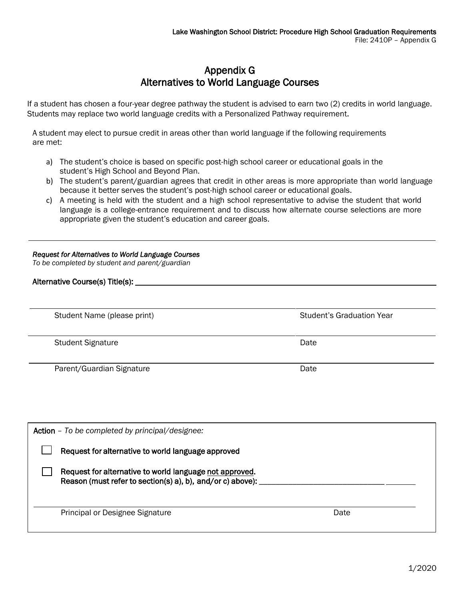# Appendix G Alternatives to World Language Courses

If a student has chosen a four-year degree pathway the student is advised to earn two (2) credits in world language. Students may replace two world language credits with a Personalized Pathway requirement.

A student may elect to pursue credit in areas other than world language if the following requirements are met:

- a) The student's choice is based on specific post-high school career or educational goals in the student's High School and Beyond Plan.
- b) The student's parent/guardian agrees that credit in other areas is more appropriate than world language because it better serves the student's post-high school career or educational goals.
- c) A meeting is held with the student and a high school representative to advise the student that world language is a college-entrance requirement and to discuss how alternate course selections are more appropriate given the student's education and career goals.

#### *Request for Alternatives to World Language Courses*

*To be completed by student and parent/guardian*

### Alternative Course(s) Title(s):

Student Name (please print) Student's Graduation Year Student's Graduation Year

Student Signature Date Date Controllers and Date Date Date

Parent/Guardian Signature Date Date

| Action - To be completed by principal/designee:                                                                       |      |
|-----------------------------------------------------------------------------------------------------------------------|------|
| Request for alternative to world language approved                                                                    |      |
| Request for alternative to world language not approved.<br>Reason (must refer to section(s) a), b), and/or c) above): |      |
| Principal or Designee Signature                                                                                       | Date |